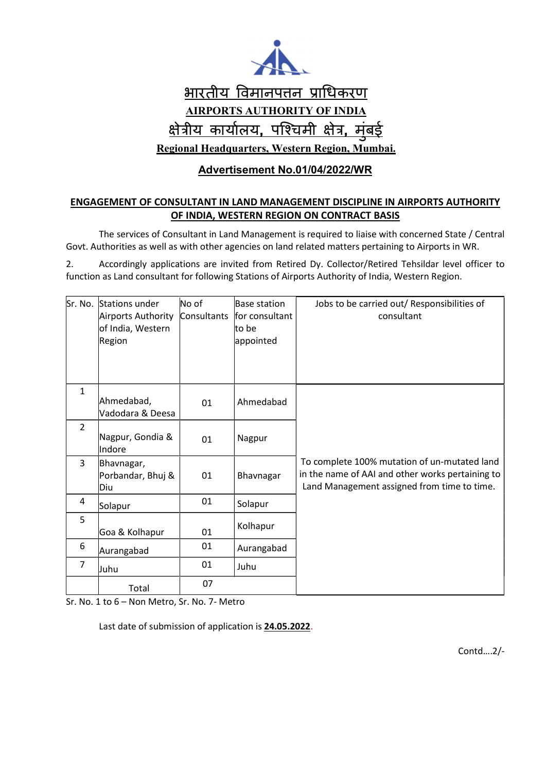

# Advertisement No.01/04/2022/WR

## ENGAGEMENT OF CONSULTANT IN LAND MANAGEMENT DISCIPLINE IN AIRPORTS AUTHORITY OF INDIA, WESTERN REGION ON CONTRACT BASIS

 The services of Consultant in Land Management is required to liaise with concerned State / Central Govt. Authorities as well as with other agencies on land related matters pertaining to Airports in WR.

2. Accordingly applications are invited from Retired Dy. Collector/Retired Tehsildar level officer to function as Land consultant for following Stations of Airports Authority of India, Western Region.

|                | Sr. No. Stations under<br><b>Airports Authority</b><br>of India, Western<br>Region | No of<br>Consultants | <b>Base station</b><br>for consultant<br>to be<br>appointed | Jobs to be carried out/ Responsibilities of<br>consultant                                                                                       |
|----------------|------------------------------------------------------------------------------------|----------------------|-------------------------------------------------------------|-------------------------------------------------------------------------------------------------------------------------------------------------|
| $\mathbf{1}$   | Ahmedabad,<br>Vadodara & Deesa                                                     | 01                   | Ahmedabad                                                   |                                                                                                                                                 |
| $\overline{2}$ | Nagpur, Gondia &<br>Indore                                                         | 01                   | Nagpur                                                      |                                                                                                                                                 |
| 3              | Bhavnagar,<br>Porbandar, Bhuj &<br>Diu                                             | 01                   | Bhavnagar                                                   | To complete 100% mutation of un-mutated land<br>in the name of AAI and other works pertaining to<br>Land Management assigned from time to time. |
| 4              | Solapur                                                                            | 01                   | Solapur                                                     |                                                                                                                                                 |
| 5              | Goa & Kolhapur                                                                     | 01                   | Kolhapur                                                    |                                                                                                                                                 |
| 6              | Aurangabad                                                                         | 01                   | Aurangabad                                                  |                                                                                                                                                 |
| $\overline{7}$ | Juhu                                                                               | 01                   | Juhu                                                        |                                                                                                                                                 |
|                | Total                                                                              | 07                   |                                                             |                                                                                                                                                 |

Sr. No. 1 to 6 – Non Metro, Sr. No. 7- Metro

Last date of submission of application is 24.05.2022.

Contd….2/-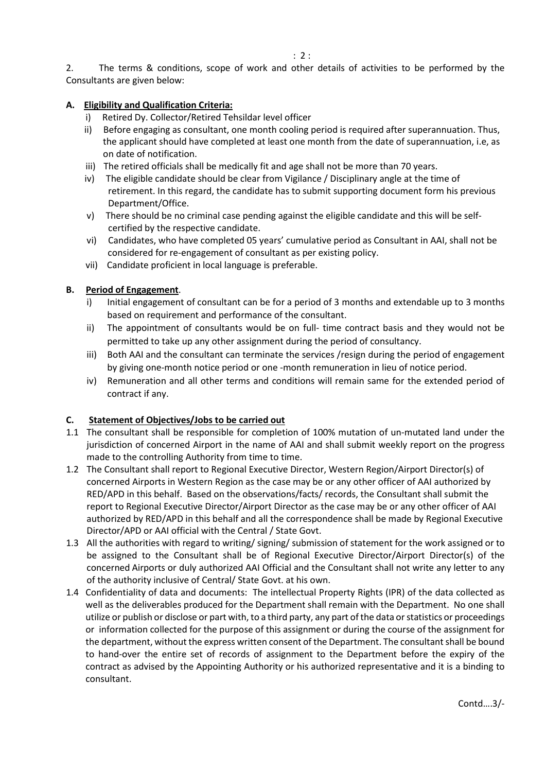2. The terms & conditions, scope of work and other details of activities to be performed by the Consultants are given below:

## A. Eligibility and Qualification Criteria:

- i) Retired Dy. Collector/Retired Tehsildar level officer
- ii) Before engaging as consultant, one month cooling period is required after superannuation. Thus, the applicant should have completed at least one month from the date of superannuation, i.e, as on date of notification.
- iii) The retired officials shall be medically fit and age shall not be more than 70 years.
- iv) The eligible candidate should be clear from Vigilance / Disciplinary angle at the time of retirement. In this regard, the candidate has to submit supporting document form his previous Department/Office.
- v) There should be no criminal case pending against the eligible candidate and this will be self certified by the respective candidate.
- vi) Candidates, who have completed 05 years' cumulative period as Consultant in AAI, shall not be considered for re-engagement of consultant as per existing policy.
- vii) Candidate proficient in local language is preferable.

#### B. Period of Engagement.

- i) Initial engagement of consultant can be for a period of 3 months and extendable up to 3 months based on requirement and performance of the consultant.
- ii) The appointment of consultants would be on full- time contract basis and they would not be permitted to take up any other assignment during the period of consultancy.
- iii) Both AAI and the consultant can terminate the services /resign during the period of engagement by giving one-month notice period or one -month remuneration in lieu of notice period.
- iv) Remuneration and all other terms and conditions will remain same for the extended period of contract if any.

## C. Statement of Objectives/Jobs to be carried out

- 1.1 The consultant shall be responsible for completion of 100% mutation of un-mutated land under the jurisdiction of concerned Airport in the name of AAI and shall submit weekly report on the progress made to the controlling Authority from time to time.
- 1.2 The Consultant shall report to Regional Executive Director, Western Region/Airport Director(s) of concerned Airports in Western Region as the case may be or any other officer of AAI authorized by RED/APD in this behalf. Based on the observations/facts/ records, the Consultant shall submit the report to Regional Executive Director/Airport Director as the case may be or any other officer of AAI authorized by RED/APD in this behalf and all the correspondence shall be made by Regional Executive Director/APD or AAI official with the Central / State Govt.
- 1.3 All the authorities with regard to writing/ signing/ submission of statement for the work assigned or to be assigned to the Consultant shall be of Regional Executive Director/Airport Director(s) of the concerned Airports or duly authorized AAI Official and the Consultant shall not write any letter to any of the authority inclusive of Central/ State Govt. at his own.
- 1.4 Confidentiality of data and documents: The intellectual Property Rights (IPR) of the data collected as well as the deliverables produced for the Department shall remain with the Department. No one shall utilize or publish or disclose or part with, to a third party, any part of the data or statistics or proceedings or information collected for the purpose of this assignment or during the course of the assignment for the department, without the express written consent of the Department. The consultant shall be bound to hand-over the entire set of records of assignment to the Department before the expiry of the contract as advised by the Appointing Authority or his authorized representative and it is a binding to consultant.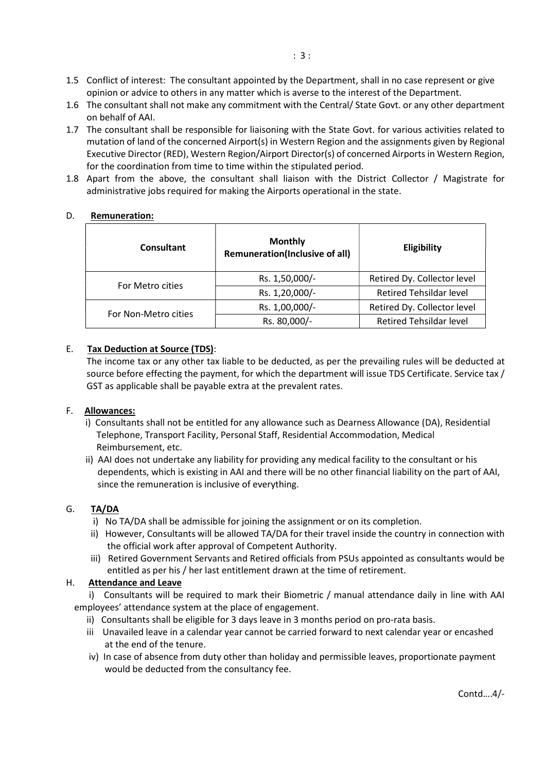- 1.5 Conflict of interest: The consultant appointed by the Department, shall in no case represent or give opinion or advice to others in any matter which is averse to the interest of the Department.
- 1.6 The consultant shall not make any commitment with the Central/ State Govt. or any other department on behalf of AAI.
- 1.7 The consultant shall be responsible for liaisoning with the State Govt. for various activities related to mutation of land of the concerned Airport(s) in Western Region and the assignments given by Regional Executive Director (RED), Western Region/Airport Director(s) of concerned Airports in Western Region, for the coordination from time to time within the stipulated period.
- 1.8 Apart from the above, the consultant shall liaison with the District Collector / Magistrate for administrative jobs required for making the Airports operational in the state.

#### D. Remuneration:

| Consultant           | <b>Monthly</b><br><b>Remuneration(Inclusive of all)</b> | Eligibility                    |
|----------------------|---------------------------------------------------------|--------------------------------|
| For Metro cities     | Rs. 1,50,000/-                                          | Retired Dy. Collector level    |
|                      | Rs. 1,20,000/-                                          | <b>Retired Tehsildar level</b> |
|                      | Rs. 1,00,000/-                                          | Retired Dy. Collector level    |
| For Non-Metro cities | Rs. 80,000/-                                            | <b>Retired Tehsildar level</b> |

#### E. Tax Deduction at Source (TDS):

The income tax or any other tax liable to be deducted, as per the prevailing rules will be deducted at source before effecting the payment, for which the department will issue TDS Certificate. Service tax / GST as applicable shall be payable extra at the prevalent rates.

#### F. Allowances:

- i) Consultants shall not be entitled for any allowance such as Dearness Allowance (DA), Residential Telephone, Transport Facility, Personal Staff, Residential Accommodation, Medical Reimbursement, etc.
- ii) AAI does not undertake any liability for providing any medical facility to the consultant or his dependents, which is existing in AAI and there will be no other financial liability on the part of AAI, since the remuneration is inclusive of everything.

## G. TA/DA

- i) No TA/DA shall be admissible for joining the assignment or on its completion.
- ii) However, Consultants will be allowed TA/DA for their travel inside the country in connection with the official work after approval of Competent Authority.
- iii) Retired Government Servants and Retired officials from PSUs appointed as consultants would be entitled as per his / her last entitlement drawn at the time of retirement.

## H. Attendance and Leave

 i) Consultants will be required to mark their Biometric / manual attendance daily in line with AAI employees' attendance system at the place of engagement.

- ii) Consultants shall be eligible for 3 days leave in 3 months period on pro-rata basis.
- iii Unavailed leave in a calendar year cannot be carried forward to next calendar year or encashed at the end of the tenure.
- iv) In case of absence from duty other than holiday and permissible leaves, proportionate payment would be deducted from the consultancy fee.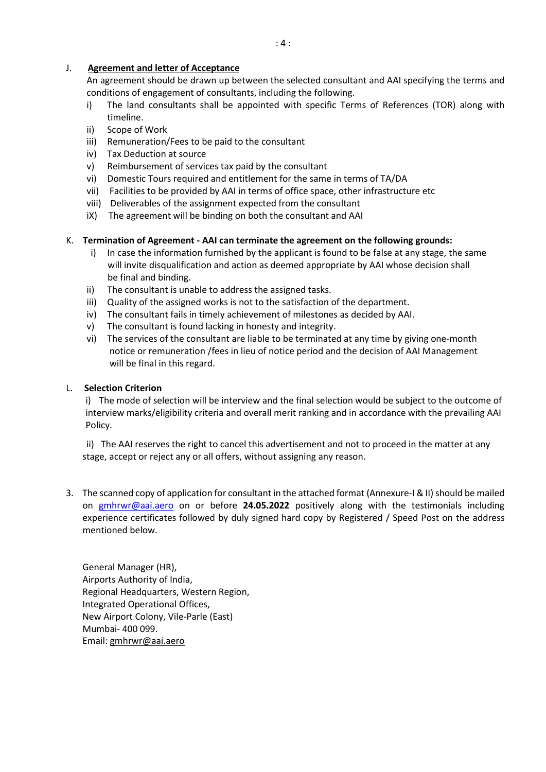## J. Agreement and letter of Acceptance

An agreement should be drawn up between the selected consultant and AAI specifying the terms and conditions of engagement of consultants, including the following.

- i) The land consultants shall be appointed with specific Terms of References (TOR) along with timeline.
- ii) Scope of Work
- iii) Remuneration/Fees to be paid to the consultant
- iv) Tax Deduction at source
- v) Reimbursement of services tax paid by the consultant
- vi) Domestic Tours required and entitlement for the same in terms of TA/DA
- vii) Facilities to be provided by AAI in terms of office space, other infrastructure etc
- viii) Deliverables of the assignment expected from the consultant
- iX) The agreement will be binding on both the consultant and AAI

## K. Termination of Agreement - AAI can terminate the agreement on the following grounds:

- i) In case the information furnished by the applicant is found to be false at any stage, the same will invite disqualification and action as deemed appropriate by AAI whose decision shall be final and binding.
- ii) The consultant is unable to address the assigned tasks.
- iii) Quality of the assigned works is not to the satisfaction of the department.
- iv) The consultant fails in timely achievement of milestones as decided by AAI.
- v) The consultant is found lacking in honesty and integrity.
- vi) The services of the consultant are liable to be terminated at any time by giving one-month notice or remuneration /fees in lieu of notice period and the decision of AAI Management will be final in this regard.

## L. Selection Criterion

i) The mode of selection will be interview and the final selection would be subject to the outcome of interview marks/eligibility criteria and overall merit ranking and in accordance with the prevailing AAI Policy.

ii) The AAI reserves the right to cancel this advertisement and not to proceed in the matter at any stage, accept or reject any or all offers, without assigning any reason.

3. The scanned copy of application for consultant in the attached format (Annexure-I & II) should be mailed on gmhrwr@aai.aero on or before 24.05.2022 positively along with the testimonials including experience certificates followed by duly signed hard copy by Registered / Speed Post on the address mentioned below.

General Manager (HR), Airports Authority of India, Regional Headquarters, Western Region, Integrated Operational Offices, New Airport Colony, Vile-Parle (East) Mumbai- 400 099. Email: gmhrwr@aai.aero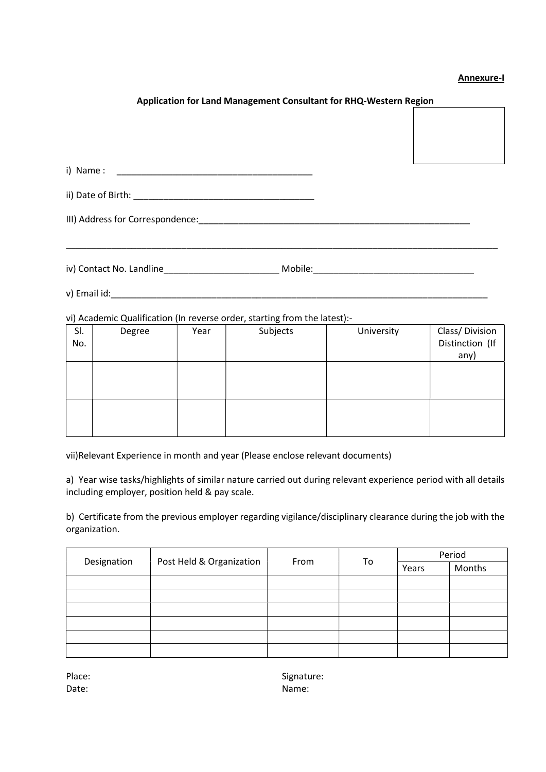#### Annexure-I

#### Application for Land Management Consultant for RHQ-Western Region

| iv) Contact No. Landline | Mobile: |  |
|--------------------------|---------|--|

v) Email id:\_\_\_\_\_\_\_\_\_\_\_\_\_\_\_\_\_\_\_\_\_\_\_\_\_\_\_\_\_\_\_\_\_\_\_\_\_\_\_\_\_\_\_\_\_\_\_\_\_\_\_\_\_\_\_\_\_\_\_\_\_\_\_\_\_\_\_\_\_\_\_\_\_\_\_

vi) Academic Qualification (In reverse order, starting from the latest):-

| SI.<br>No. | Degree | Year | Subjects | University | Class/ Division<br>Distinction (If |
|------------|--------|------|----------|------------|------------------------------------|
|            |        |      |          |            | any)                               |
|            |        |      |          |            |                                    |
|            |        |      |          |            |                                    |
|            |        |      |          |            |                                    |
|            |        |      |          |            |                                    |
|            |        |      |          |            |                                    |
|            |        |      |          |            |                                    |

vii)Relevant Experience in month and year (Please enclose relevant documents)

a) Year wise tasks/highlights of similar nature carried out during relevant experience period with all details including employer, position held & pay scale.

b) Certificate from the previous employer regarding vigilance/disciplinary clearance during the job with the organization.

|             |                          | From | To | Period |        |
|-------------|--------------------------|------|----|--------|--------|
| Designation | Post Held & Organization |      |    | Years  | Months |
|             |                          |      |    |        |        |
|             |                          |      |    |        |        |
|             |                          |      |    |        |        |
|             |                          |      |    |        |        |
|             |                          |      |    |        |        |
|             |                          |      |    |        |        |

| Place: |  |
|--------|--|
| Date:  |  |

Signature: Name: